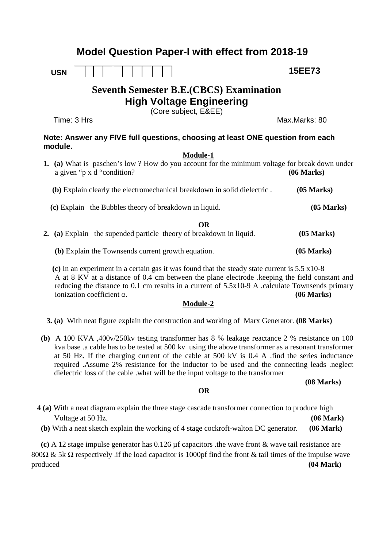## **Model Question Paper-I with effect from 2018-19**

**USN**

# **Seventh Semester B.E.(CBCS) Examination High Voltage Engineering**

(Core subject, E&EE)

Time: 3 Hrs Max.Marks: 80

 **15EE73**

### **Note: Answer any FIVE full questions, choosing at least ONE question from each module.**

#### **Module-1**

| (a) What is paschen's low? How do you account for the minimum voltage for break down under<br>a given "p x d "condition? | (06 Marks)           |
|--------------------------------------------------------------------------------------------------------------------------|----------------------|
| (b) Explain clearly the electromechanical breakdown in solid dielectric.                                                 | $(05 \text{ Marks})$ |
| (c) Explain the Bubbles theory of breakdown in liquid.                                                                   | $(05 \text{ Marks})$ |
| <b>OR</b><br>2. (a) Explain the supended particle theory of breakdown in liquid.                                         | $(05 \text{ Marks})$ |
| (b) Explain the Townsends current growth equation.                                                                       | $(05$ Marks)         |

 **(c)** In an experiment in a certain gas it was found that the steady state current is 5.5 x10-8 A at 8 KV at a distance of 0.4 cm between the plane electrode .keeping the field constant and reducing the distance to 0.1 cm results in a current of 5.5x10-9 A .calculate Townsends primary ionization coefficient α. **(06 Marks)**

#### **Module-2**

 **3. (a)** With neat figure explain the construction and working of Marx Generator. **(08 Marks)**

 **(b)** A 100 KVA ,400v/250kv testing transformer has 8 % leakage reactance 2 % resistance on 100 kva base .a cable has to be tested at 500 kv using the above transformer as a resonant transformer at 50 Hz. If the charging current of the cable at 500 kV is 0.4 A .find the series inductance required .Assume 2% resistance for the inductor to be used and the connecting leads .neglect dielectric loss of the cable .what will be the input voltage to the transformer

 **(08 Marks)**

#### **OR**

 **4 (a)** With a neat diagram explain the three stage cascade transformer connection to produce high Voltage at 50 Hz. **(a)**  $(06 \text{ Mark})$  **(b)** With a neat sketch explain the working of 4 stage cockroft-walton DC generator. **(06 Mark)** 

 **(c)** A 12 stage impulse generator has 0.126 µf capacitors .the wave front & wave tail resistance are 800Ω & 5k Ω respectively .if the load capacitor is 1000pf find the front & tail times of the impulse wave produced **(04 Mark)**